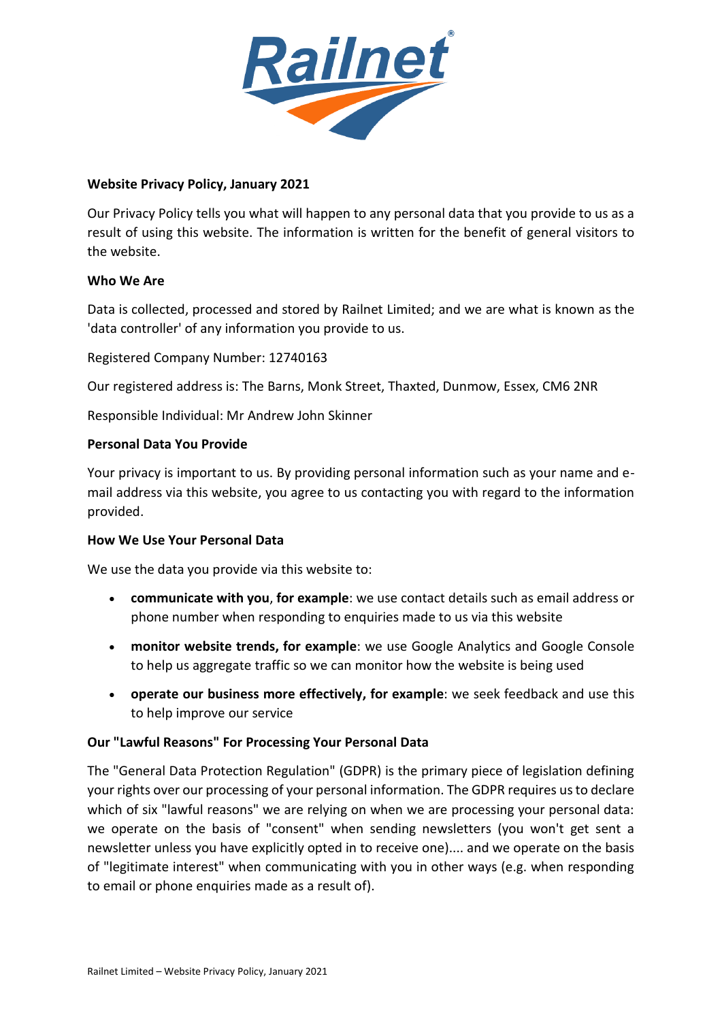

# **Website Privacy Policy, January 2021**

Our Privacy Policy tells you what will happen to any personal data that you provide to us as a result of using this website. The information is written for the benefit of general visitors to the website.

### **Who We Are**

Data is collected, processed and stored by Railnet Limited; and we are what is known as the 'data controller' of any information you provide to us.

Registered Company Number: 12740163

Our registered address is: The Barns, Monk Street, Thaxted, Dunmow, Essex, CM6 2NR

Responsible Individual: Mr Andrew John Skinner

### **Personal Data You Provide**

Your privacy is important to us. By providing personal information such as your name and email address via this website, you agree to us contacting you with regard to the information provided.

### **How We Use Your Personal Data**

We use the data you provide via this website to:

- **communicate with you**, **for example**: we use contact details such as email address or phone number when responding to enquiries made to us via this website
- **monitor website trends, for example**: we use Google Analytics and Google Console to help us aggregate traffic so we can monitor how the website is being used
- **operate our business more effectively, for example**: we seek feedback and use this to help improve our service

### **Our "Lawful Reasons" For Processing Your Personal Data**

The "General Data Protection Regulation" (GDPR) is the primary piece of legislation defining your rights over our processing of your personal information. The GDPR requires us to declare which of six "lawful reasons" we are relying on when we are processing your personal data: we operate on the basis of "consent" when sending newsletters (you won't get sent a newsletter unless you have explicitly opted in to receive one).... and we operate on the basis of "legitimate interest" when communicating with you in other ways (e.g. when responding to email or phone enquiries made as a result of).